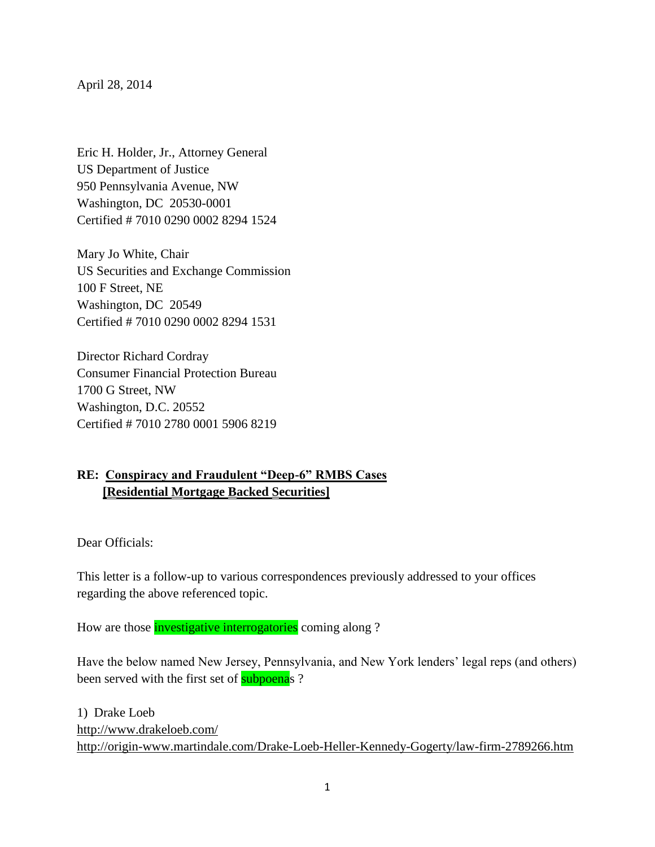April 28, 2014

Eric H. Holder, Jr., Attorney General US Department of Justice 950 Pennsylvania Avenue, NW Washington, DC 20530-0001 Certified # 7010 0290 0002 8294 1524

Mary Jo White, Chair US Securities and Exchange Commission 100 F Street, NE Washington, DC 20549 Certified # 7010 0290 0002 8294 1531

Director Richard Cordray Consumer Financial Protection Bureau 1700 G Street, NW Washington, D.C. 20552 Certified # 7010 2780 0001 5906 8219

## **RE: Conspiracy and Fraudulent "Deep-6" RMBS Cases [Residential Mortgage Backed Securities]**

Dear Officials:

This letter is a follow-up to various correspondences previously addressed to your offices regarding the above referenced topic.

How are those *investigative interrogatories* coming along ?

Have the below named New Jersey, Pennsylvania, and New York lenders' legal reps (and others) been served with the first set of **subpoenas** ?

1) Drake Loeb <http://www.drakeloeb.com/> <http://origin-www.martindale.com/Drake-Loeb-Heller-Kennedy-Gogerty/law-firm-2789266.htm>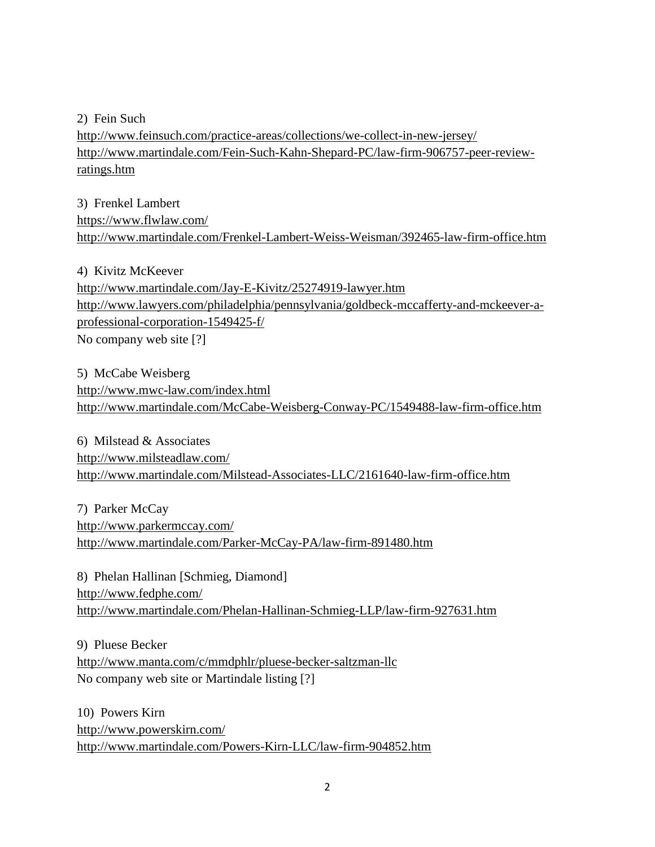2) Fein Such

<http://www.feinsuch.com/practice-areas/collections/we-collect-in-new-jersey/> [http://www.martindale.com/Fein-Such-Kahn-Shepard-PC/law-firm-906757-peer-review](http://www.martindale.com/Fein-Such-Kahn-Shepard-PC/law-firm-906757-peer-review-ratings.htm)[ratings.htm](http://www.martindale.com/Fein-Such-Kahn-Shepard-PC/law-firm-906757-peer-review-ratings.htm)

3) Frenkel Lambert <https://www.flwlaw.com/> <http://www.martindale.com/Frenkel-Lambert-Weiss-Weisman/392465-law-firm-office.htm>

4) Kivitz McKeever <http://www.martindale.com/Jay-E-Kivitz/25274919-lawyer.htm> [http://www.lawyers.com/philadelphia/pennsylvania/goldbeck-mccafferty-and-mckeever-a](http://www.lawyers.com/philadelphia/pennsylvania/goldbeck-mccafferty-and-mckeever-a-professional-corporation-1549425-f/)[professional-corporation-1549425-f/](http://www.lawyers.com/philadelphia/pennsylvania/goldbeck-mccafferty-and-mckeever-a-professional-corporation-1549425-f/) No company web site [?]

5) McCabe Weisberg <http://www.mwc-law.com/index.html> <http://www.martindale.com/McCabe-Weisberg-Conway-PC/1549488-law-firm-office.htm>

6) Milstead & Associates <http://www.milsteadlaw.com/> <http://www.martindale.com/Milstead-Associates-LLC/2161640-law-firm-office.htm>

7) Parker McCay <http://www.parkermccay.com/> <http://www.martindale.com/Parker-McCay-PA/law-firm-891480.htm>

8) Phelan Hallinan [Schmieg, Diamond] <http://www.fedphe.com/> <http://www.martindale.com/Phelan-Hallinan-Schmieg-LLP/law-firm-927631.htm>

9) Pluese Becker <http://www.manta.com/c/mmdphlr/pluese-becker-saltzman-llc> No company web site or Martindale listing [?]

10) Powers Kirn <http://www.powerskirn.com/> <http://www.martindale.com/Powers-Kirn-LLC/law-firm-904852.htm>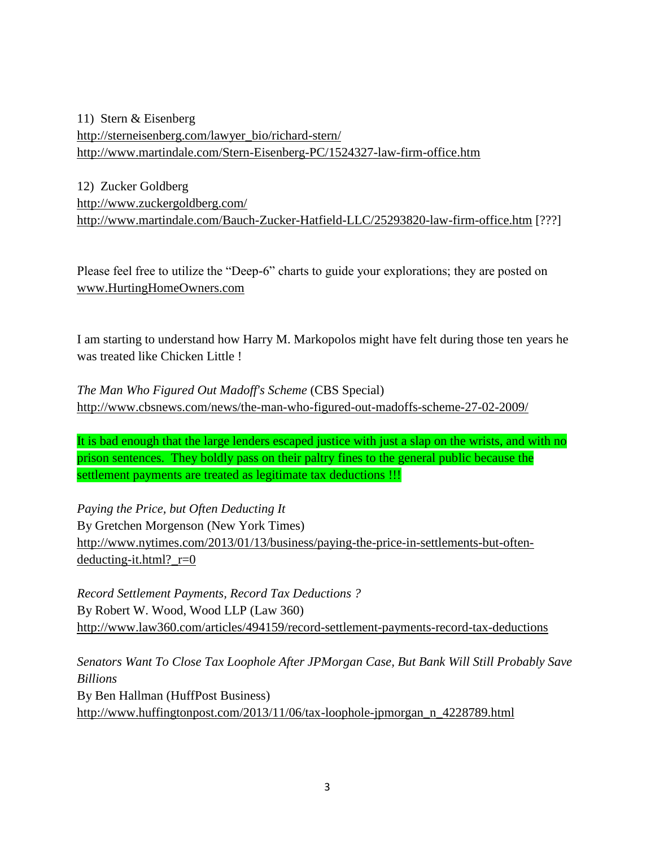11) Stern & Eisenberg [http://sterneisenberg.com/lawyer\\_bio/richard-stern/](http://sterneisenberg.com/lawyer_bio/richard-stern/) <http://www.martindale.com/Stern-Eisenberg-PC/1524327-law-firm-office.htm>

12) Zucker Goldberg <http://www.zuckergoldberg.com/> <http://www.martindale.com/Bauch-Zucker-Hatfield-LLC/25293820-law-firm-office.htm> [???]

Please feel free to utilize the "Deep-6" charts to guide your explorations; they are posted on [www.HurtingHomeOwners.com](http://www.hurtinghomeowners.com/)

I am starting to understand how Harry M. Markopolos might have felt during those ten years he was treated like Chicken Little !

*The Man Who Figured Out Madoff's Scheme* (CBS Special) <http://www.cbsnews.com/news/the-man-who-figured-out-madoffs-scheme-27-02-2009/>

It is bad enough that the large lenders escaped justice with just a slap on the wrists, and with no prison sentences. They boldly pass on their paltry fines to the general public because the settlement payments are treated as legitimate tax deductions !!!

*Paying the Price, but Often Deducting It* By Gretchen Morgenson (New York Times) [http://www.nytimes.com/2013/01/13/business/paying-the-price-in-settlements-but-often](http://www.nytimes.com/2013/01/13/business/paying-the-price-in-settlements-but-often-deducting-it.html?_r=0)deducting-it.html?  $r=0$ 

*Record Settlement Payments, Record Tax Deductions ?* By Robert W. Wood, Wood LLP (Law 360) <http://www.law360.com/articles/494159/record-settlement-payments-record-tax-deductions>

*Senators Want To Close Tax Loophole After JPMorgan Case, But Bank Will Still Probably Save Billions* By Ben Hallman (HuffPost Business) [http://www.huffingtonpost.com/2013/11/06/tax-loophole-jpmorgan\\_n\\_4228789.html](http://www.huffingtonpost.com/2013/11/06/tax-loophole-jpmorgan_n_4228789.html)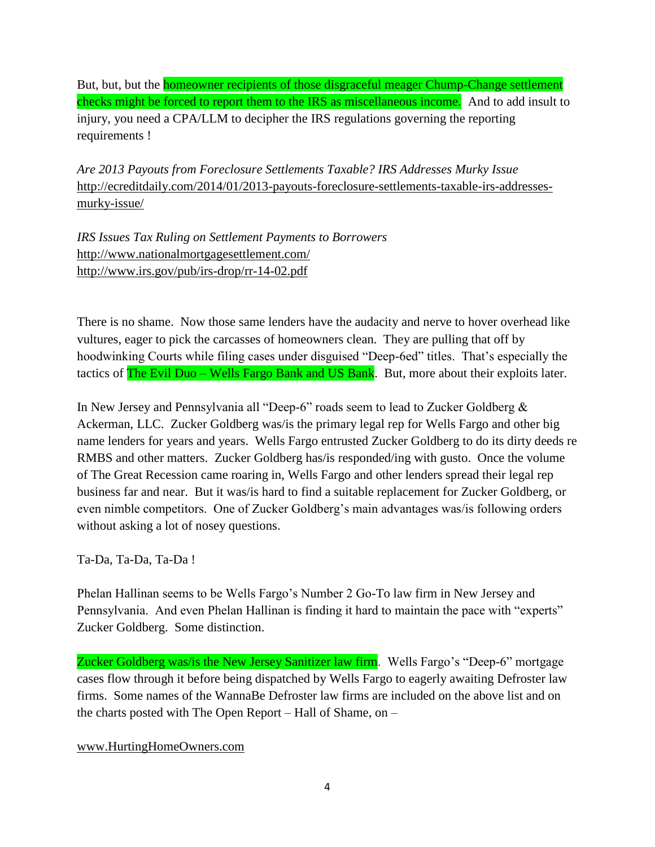But, but, but the homeowner recipients of those disgraceful meager Chump-Change settlement checks might be forced to report them to the IRS as miscellaneous income. And to add insult to injury, you need a CPA/LLM to decipher the IRS regulations governing the reporting requirements !

*Are 2013 Payouts from Foreclosure Settlements Taxable? IRS Addresses Murky Issue* [http://ecreditdaily.com/2014/01/2013-payouts-foreclosure-settlements-taxable-irs-addresses](http://ecreditdaily.com/2014/01/2013-payouts-foreclosure-settlements-taxable-irs-addresses-murky-issue/)[murky-issue/](http://ecreditdaily.com/2014/01/2013-payouts-foreclosure-settlements-taxable-irs-addresses-murky-issue/)

*IRS Issues Tax Ruling on Settlement Payments to Borrowers* <http://www.nationalmortgagesettlement.com/> <http://www.irs.gov/pub/irs-drop/rr-14-02.pdf>

There is no shame. Now those same lenders have the audacity and nerve to hover overhead like vultures, eager to pick the carcasses of homeowners clean. They are pulling that off by hoodwinking Courts while filing cases under disguised "Deep-6ed" titles. That's especially the tactics of The Evil Duo – Wells Fargo Bank and US Bank. But, more about their exploits later.

In New Jersey and Pennsylvania all "Deep-6" roads seem to lead to Zucker Goldberg & Ackerman, LLC. Zucker Goldberg was/is the primary legal rep for Wells Fargo and other big name lenders for years and years. Wells Fargo entrusted Zucker Goldberg to do its dirty deeds re RMBS and other matters. Zucker Goldberg has/is responded/ing with gusto. Once the volume of The Great Recession came roaring in, Wells Fargo and other lenders spread their legal rep business far and near. But it was/is hard to find a suitable replacement for Zucker Goldberg, or even nimble competitors. One of Zucker Goldberg's main advantages was/is following orders without asking a lot of nosey questions.

Ta-Da, Ta-Da, Ta-Da !

Phelan Hallinan seems to be Wells Fargo's Number 2 Go-To law firm in New Jersey and Pennsylvania. And even Phelan Hallinan is finding it hard to maintain the pace with "experts" Zucker Goldberg. Some distinction.

Zucker Goldberg was/is the New Jersey Sanitizer law firm. Wells Fargo's "Deep-6" mortgage cases flow through it before being dispatched by Wells Fargo to eagerly awaiting Defroster law firms. Some names of the WannaBe Defroster law firms are included on the above list and on the charts posted with The Open Report – Hall of Shame, on –

[www.HurtingHomeOwners.com](http://www.hurtinghomeowners.com/)